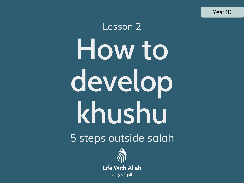Year 10

### Lesson 2 How to develop khushu 5 steps outside salah

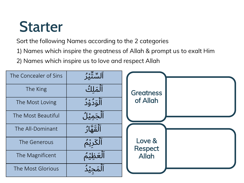### **Starter**

Sort the following Names according to the 2 categories

- 1) Names which inspire the greatness of Allah & prompt us to exalt Him
- 2) Names which inspire us to love and respect Allah

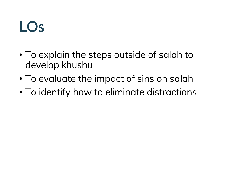### LOs

- To explain the steps outside of salah to develop khushu
- To evaluate the impact of sins on salah
- To identify how to eliminate distractions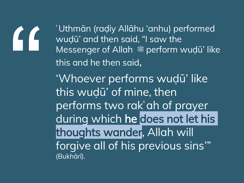

ʿUthmān (raḍiy Allāhu 'anhu) performed wuḍū' and then said, "I saw the Messenger of Allah <sup>26</sup> perform wuḍū' like this and he then said, 'Whoever performs wuḍū' like this wuḍū' of mine, then performs two rakʿah of prayer during which he does not let his thoughts wander, Allah will forgive all of his previous sins'" (Bukhārī).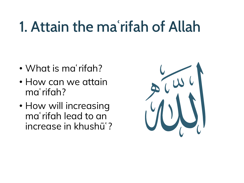### 1. Attain the maʿrifah of Allah

- What is maʿrifah?
- How can we attain maʿrifah?
- How will increasing maʿrifah lead to an increase in khushūʿ?

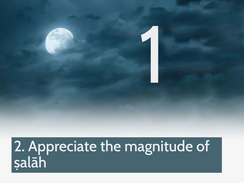### 2. Appreciate the magnitude of ṣalāh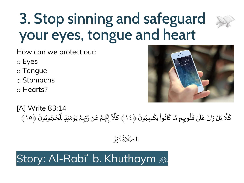### 3. Stop sinning and safeguard your eyes, tongue and heart

How can we protect our:

- o Eyes
- o Tongue
- o Stomachs
- o Hearts?



[A] Write 83:14  $\ddot{\phantom{0}}$ كَلَّا بَلْ رَانَ عَلَىٰ قُلُوبِهِم مَّا كَانُواْ يَكْسِبُونَ ﴿١٤﴾ كَلَّآ إِنَّهُمْ عَن رَّبِهِمْ يَوْ ُ ْ  $\ddot{\ }$ ֦֧<sup>֟</sup> ُ .<br>م ن<br>م **∶** ُ ُ<br>ُ  $\frac{1}{1}$  $\frac{1}{2}$  $\ddot{\phantom{0}}$  $\ddot{\phantom{0}}$  $\ddot{\phantom{0}}$ ة<br>ما ์<br>-<br>-֦֧֦֦֧֝<u>֦</u>  $\ddot{\ }$ ْ  $\ddot{\cdot}$ .<br>גי ان<br>ا  $\frac{1}{2}$ ْ ا<br>رو<br>مر ا<br>م |<br>יִ ا<br>ا با كَلَّآ إِنَّهُمْ عَن رَّبِّهِمْ يَوْمَئِذٍ لَّمَّحُوبُونَ  $\frac{1}{2}$ ।<br>-<br>• ُ .<br>\* '<br>י ا<br>أ ِمَئِذٍ لَّمَّحْجُوبُونَ ﴿١٥﴾  $\frac{1}{2}$ 

> ص ال اتا<br>ما  $\frac{1}{\sqrt{2}}$ لَاةُ نُوْرٌ ֦֧֦֦֧֝<u>֦</u> ُ ُ<br>ُ∗ ֝<br>֧֚֝<br>֧֧֚֝֝֬֝֓֝֬֝֓֝֓֝֬֝֓֝֓֬֝֓֝֬֝֓֬֝֟֓֝֟֓֝֬֝֓֝

### Story: Al-Rabīʿ b. Khuthaym ﷺ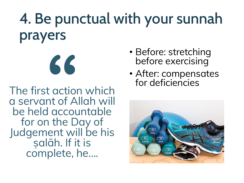### 4. Be punctual with your sunnah prayers

The first action which a servant of Allah will be held accountable for on the Day of Judgement will be his ṣalāh. If it is complete, he….

**"**

- Before: stretching before exercising
- After: compensates for deficiencies

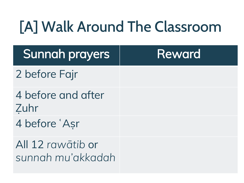### [A] Walk Around The Classroom

| <b>Sunnah prayers</b>                  | <b>Reward</b> |
|----------------------------------------|---------------|
| 2 before Fajr                          |               |
| 4 before and after<br>Zuhr             |               |
| 4 before 'Asr                          |               |
| All 12 rawātib or<br>sunnah mu'akkadah |               |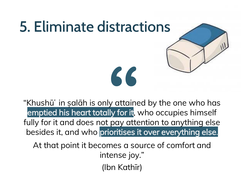## 5. Eliminate distractions

"Khushū' in salāh is only attained by the one who has emptied his heart totally for it, who occupies himself fully for it and does not pay attention to anything else besides it, and who prioritises it over everything else.

**"**

At that point it becomes a source of comfort and intense joy." (Ibn Kathīr)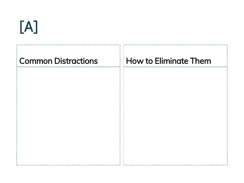### [A]

# Common Distractions How to Eliminate Them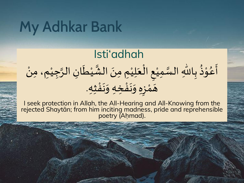### My Adhkar Bank

### Isti'adhah

### ْ ب أَعُوْذُ بِاللّٰهِ السَّمِيْعِ الْعَلِيْمِ مِنَ الشَّيْطَانِ الرَّجِيْمِ، مِنْ  $\ddot{\phantom{0}}$ ֦֧֦֧֦֧<u>֦</u> L<br>E ْ ان<br>ا ل<br>م  $\ddot{\phantom{1}}$  $\frac{1}{2}$ י<br>י  $\frac{1}{2}$  $\ddot{\phantom{0}}$  $\ddot{\phantom{0}}$  $\ddot{\phantom{0}}$ ْ المحمد ان<br>ا **ٔ** ْ هَمْزِهِ وَنَفْخِهِ وَنَفْثِهِ. .<br>د  $\ddot{\phantom{0}}$  $\ddot{\phantom{0}}$ .<br>د ا  $\frac{1}{2}$  $\frac{1}{\sqrt{2}}$ י<br>י  $\blacksquare$

I seek protection in Allah, the All-Hearing and All-Knowing from the rejected Shaytān; from him inciting madness, pride and reprehensible poetry (Ahmad).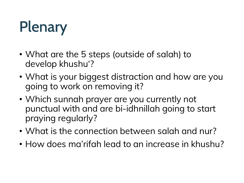### Plenary

- What are the 5 steps (outside of salah) to develop khushu'?
- What is your biggest distraction and how are you going to work on removing it?
- Which sunnah prayer are you currently not punctual with and are bi-idhnillah going to start praying regularly?
- What is the connection between salah and nur?
- How does ma'rifah lead to an increase in khushu?